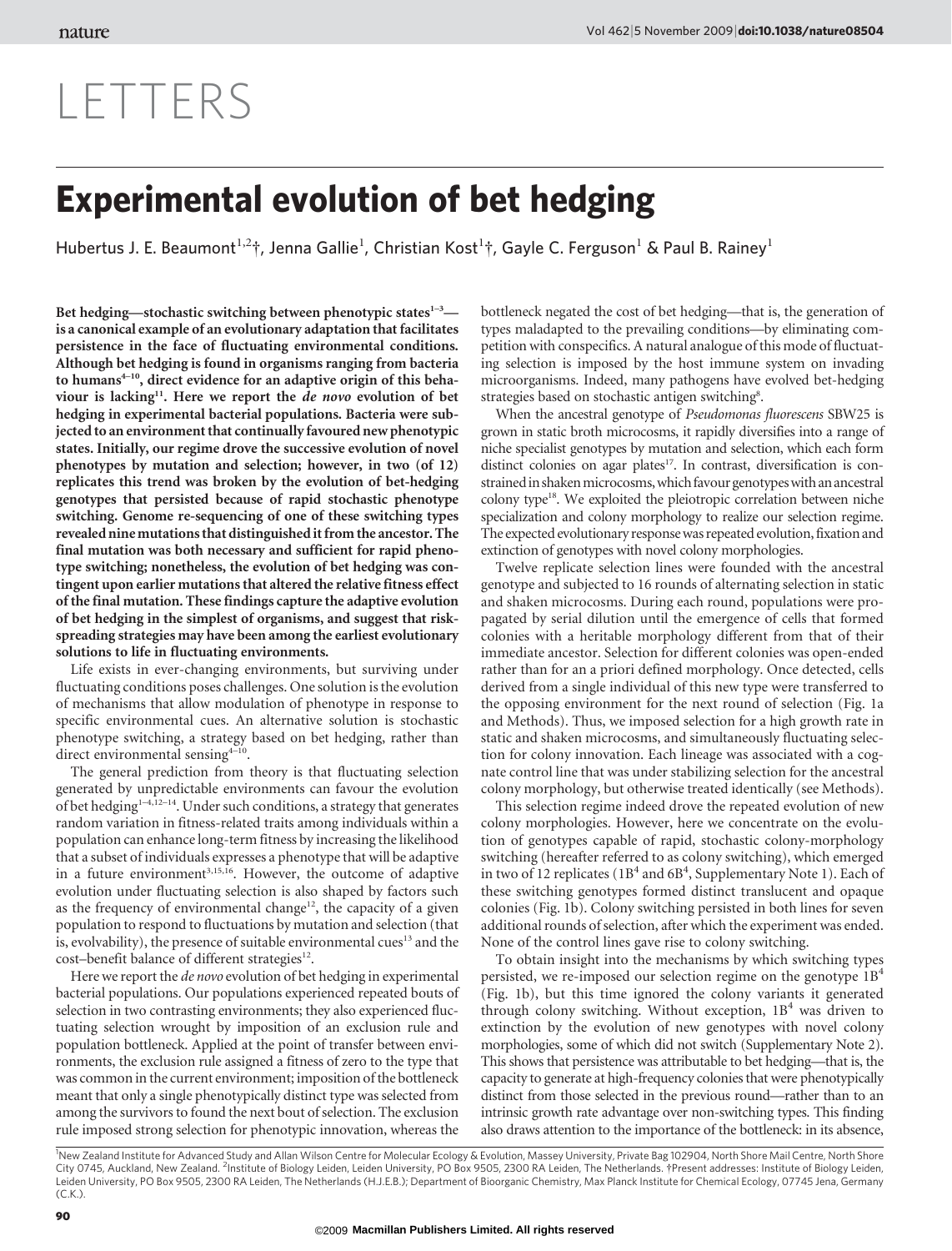# LETTERS

## Experimental evolution of bet hedging

Hubertus J. E. Beaumont $^{1,2}$ †, Jenna Gallie<sup>1</sup>, Christian Kost $^{1}$ †, Gayle C. Ferguson<sup>1</sup> & Paul B. Rainey<sup>1</sup>

Bet hedging—stochastic switching between phenotypic states $1-3$  is a canonical example of an evolutionary adaptation that facilitates persistence in the face of fluctuating environmental conditions. Although bet hedging is found in organisms ranging from bacteria to humans<sup>4-10</sup>, direct evidence for an adaptive origin of this behaviour is lacking<sup>11</sup>. Here we report the *de novo* evolution of bet hedging in experimental bacterial populations. Bacteria were subjected to an environment that continually favoured new phenotypic states. Initially, our regime drove the successive evolution of novel phenotypes by mutation and selection; however, in two (of 12) replicates this trend was broken by the evolution of bet-hedging genotypes that persisted because of rapid stochastic phenotype switching. Genome re-sequencing of one of these switching types revealed ninemutations that distinguishedit from the ancestor. The final mutation was both necessary and sufficient for rapid phenotype switching; nonetheless, the evolution of bet hedging was contingent upon earlier mutations that altered the relative fitness effect of the final mutation. These findings capture the adaptive evolution of bet hedging in the simplest of organisms, and suggest that riskspreading strategies may have been among the earliest evolutionary solutions to life in fluctuating environments.

Life exists in ever-changing environments, but surviving under fluctuating conditions poses challenges. One solution is the evolution of mechanisms that allow modulation of phenotype in response to specific environmental cues. An alternative solution is stochastic phenotype switching, a strategy based on bet hedging, rather than direct environmental sensing $4^{-10}$ .

The general prediction from theory is that fluctuating selection generated by unpredictable environments can favour the evolution of bet hedging<sup>1-4,12-14</sup>. Under such conditions, a strategy that generates random variation in fitness-related traits among individuals within a population can enhance long-term fitness by increasing the likelihood that a subset of individuals expresses a phenotype that will be adaptive in a future environment<sup>3,15,16</sup>. However, the outcome of adaptive evolution under fluctuating selection is also shaped by factors such as the frequency of environmental change<sup>12</sup>, the capacity of a given population to respond to fluctuations by mutation and selection (that is, evolvability), the presence of suitable environmental cues<sup>13</sup> and the cost–benefit balance of different strategies<sup>12</sup>.

Here we report the de novo evolution of bet hedging in experimental bacterial populations. Our populations experienced repeated bouts of selection in two contrasting environments; they also experienced fluctuating selection wrought by imposition of an exclusion rule and population bottleneck. Applied at the point of transfer between environments, the exclusion rule assigned a fitness of zero to the type that was common in the current environment; imposition of the bottleneck meant that only a single phenotypically distinct type was selected from among the survivors to found the next bout of selection. The exclusion rule imposed strong selection for phenotypic innovation, whereas the

bottleneck negated the cost of bet hedging—that is, the generation of types maladapted to the prevailing conditions—by eliminating competition with conspecifics. A natural analogue of this mode of fluctuating selection is imposed by the host immune system on invading microorganisms. Indeed, many pathogens have evolved bet-hedging strategies based on stochastic antigen switching<sup>8</sup>.

When the ancestral genotype of Pseudomonas fluorescens SBW25 is grown in static broth microcosms, it rapidly diversifies into a range of niche specialist genotypes by mutation and selection, which each form distinct colonies on agar plates<sup>17</sup>. In contrast, diversification is constrained in shaken microcosms, which favour genotypes with an ancestral colony type18. We exploited the pleiotropic correlation between niche specialization and colony morphology to realize our selection regime. The expected evolutionary response was repeated evolution, fixation and extinction of genotypes with novel colony morphologies.

Twelve replicate selection lines were founded with the ancestral genotype and subjected to 16 rounds of alternating selection in static and shaken microcosms. During each round, populations were propagated by serial dilution until the emergence of cells that formed colonies with a heritable morphology different from that of their immediate ancestor. Selection for different colonies was open-ended rather than for an a priori defined morphology. Once detected, cells derived from a single individual of this new type were transferred to the opposing environment for the next round of selection (Fig. 1a and Methods). Thus, we imposed selection for a high growth rate in static and shaken microcosms, and simultaneously fluctuating selection for colony innovation. Each lineage was associated with a cognate control line that was under stabilizing selection for the ancestral colony morphology, but otherwise treated identically (see Methods).

This selection regime indeed drove the repeated evolution of new colony morphologies. However, here we concentrate on the evolution of genotypes capable of rapid, stochastic colony-morphology switching (hereafter referred to as colony switching), which emerged in two of 12 replicates ( $1B<sup>4</sup>$  and  $6B<sup>4</sup>$ , Supplementary Note 1). Each of these switching genotypes formed distinct translucent and opaque colonies (Fig. 1b). Colony switching persisted in both lines for seven additional rounds of selection, after which the experiment was ended. None of the control lines gave rise to colony switching.

To obtain insight into the mechanisms by which switching types persisted, we re-imposed our selection regime on the genotype 1B4 (Fig. 1b), but this time ignored the colony variants it generated through colony switching. Without exception,  $1B<sup>4</sup>$  was driven to extinction by the evolution of new genotypes with novel colony morphologies, some of which did not switch (Supplementary Note 2). This shows that persistence was attributable to bet hedging—that is, the capacity to generate at high-frequency colonies that were phenotypically distinct from those selected in the previous round—rather than to an intrinsic growth rate advantage over non-switching types. This finding also draws attention to the importance of the bottleneck: in its absence,

<sup>1</sup>New Zealand Institute for Advanced Study and Allan Wilson Centre for Molecular Ecology & Evolution, Massey University, Private Bag 102904, North Shore Mail Centre, North Shore City 0745, Auckland, New Zealand. <sup>2</sup>Institute of Biology Leiden, Leiden University, PO Box 9505, 2300 RA Leiden, The Netherlands. †Present addresses: Institute of Biology Leiden, Leiden University, PO Box 9505, 2300 RA Leiden, The Netherlands (H.J.E.B.); Department of Bioorganic Chemistry, Max Planck Institute for Chemical Ecology, 07745 Jena, Germany (C.K.).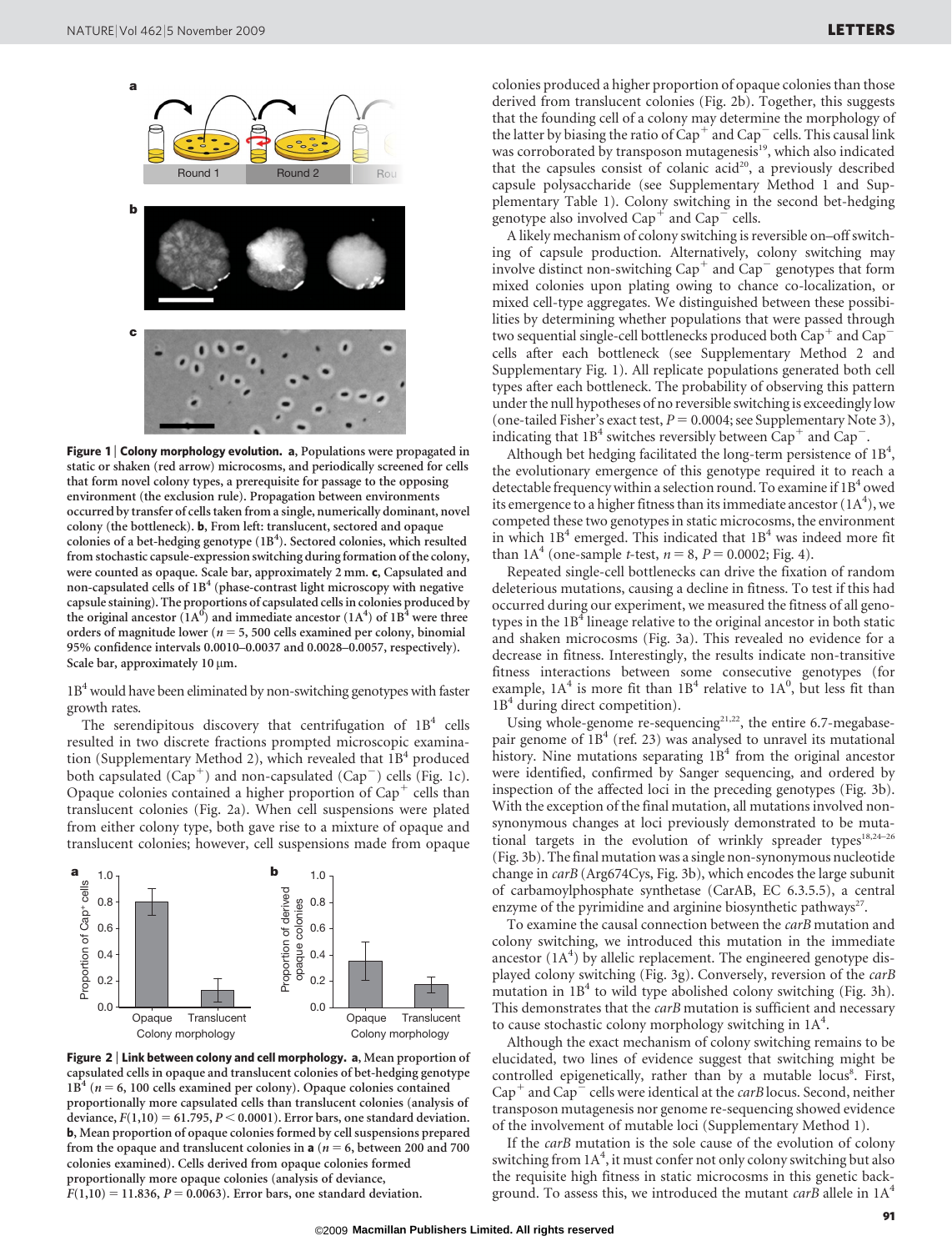

Figure 1 | Colony morphology evolution. a, Populations were propagated in static or shaken (red arrow) microcosms, and periodically screened for cells that form novel colony types, a prerequisite for passage to the opposing environment (the exclusion rule). Propagation between environments occurred by transfer of cells taken from a single, numerically dominant, novel colony (the bottleneck). b, From left: translucent, sectored and opaque colonies of a bet-hedging genotype (1B<sup>4</sup>). Sectored colonies, which resulted from stochastic capsule-expression switching during formation of the colony, were counted as opaque. Scale bar, approximately 2 mm. c, Capsulated and non-capsulated cells of  $1B<sup>4</sup>$  (phase-contrast light microscopy with negative capsule staining). The proportions of capsulated cells in colonies produced by the original ancestor  $(1A^0)$  and immediate ancestor  $(1A^4)$  of  $1B^4$  were three orders of magnitude lower ( $n = 5$ , 500 cells examined per colony, binomial 95% confidence intervals 0.0010–0.0037 and 0.0028–0.0057, respectively). Scale bar, approximately 10  $\mu$ m.

 $1B<sup>4</sup>$  would have been eliminated by non-switching genotypes with faster growth rates.

The serendipitous discovery that centrifugation of  $1B<sup>4</sup>$  cells resulted in two discrete fractions prompted microscopic examination (Supplementary Method 2), which revealed that  $1B<sup>4</sup>$  produced both capsulated  $(Cap^+)$  and non-capsulated  $(Cap^-)$  cells (Fig. 1c). Opaque colonies contained a higher proportion of  $Cap<sup>+</sup>$  cells than translucent colonies (Fig. 2a). When cell suspensions were plated from either colony type, both gave rise to a mixture of opaque and translucent colonies; however, cell suspensions made from opaque



Figure 2 | Link between colony and cell morphology. a, Mean proportion of capsulated cells in opaque and translucent colonies of bet-hedging genotype  $1B<sup>4</sup>$  ( $n = 6$ , 100 cells examined per colony). Opaque colonies contained proportionally more capsulated cells than translucent colonies (analysis of deviance,  $F(1,10) = 61.795$ ,  $P < 0.0001$ ). Error bars, one standard deviation. b, Mean proportion of opaque colonies formed by cell suspensions prepared from the opaque and translucent colonies in **a** ( $n = 6$ , between 200 and 700 colonies examined). Cells derived from opaque colonies formed proportionally more opaque colonies (analysis of deviance,

 $F(1,10) = 11.836, P = 0.0063$ . Error bars, one standard deviation.

colonies produced a higher proportion of opaque colonies than those derived from translucent colonies (Fig. 2b). Together, this suggests that the founding cell of a colony may determine the morphology of the latter by biasing the ratio of  $\mathrm{Cap}^+$  and  $\mathrm{Cap}^-$  cells. This causal link was corroborated by transposon mutagenesis<sup>19</sup>, which also indicated that the capsules consist of colanic acid<sup>20</sup>, a previously described capsule polysaccharide (see Supplementary Method 1 and Supplementary Table 1). Colony switching in the second bet-hedging genotype also involved  $Cap^+$  and  $Cap^-$  cells.

A likely mechanism of colony switching is reversible on–off switching of capsule production. Alternatively, colony switching may involve distinct non-switching  $Cap^+$  and  $Cap^-$  genotypes that form mixed colonies upon plating owing to chance co-localization, or mixed cell-type aggregates. We distinguished between these possibilities by determining whether populations that were passed through two sequential single-cell bottlenecks produced both  $Cap^+$  and  $Cap^$ cells after each bottleneck (see Supplementary Method 2 and Supplementary Fig. 1). All replicate populations generated both cell types after each bottleneck. The probability of observing this pattern under the null hypotheses of no reversible switching is exceedingly low (one-tailed Fisher's exact test,  $P = 0.0004$ ; see Supplementary Note 3), indicating that  $1B<sup>4</sup>$  switches reversibly between Cap<sup>+</sup> and Cap<sup>-</sup>.

Although bet hedging facilitated the long-term persistence of  $1B<sup>4</sup>$ , the evolutionary emergence of this genotype required it to reach a detectable frequency within a selection round. To examine if  $1B<sup>4</sup>$  owed its emergence to a higher fitness than its immediate ancestor ( $1\text{A}^4$ ), we competed these two genotypes in static microcosms, the environment in which  $1B<sup>4</sup>$  emerged. This indicated that  $1B<sup>4</sup>$  was indeed more fit than  $1A^4$  (one-sample *t*-test,  $n = 8$ ,  $P = 0.0002$ ; Fig. 4).

Repeated single-cell bottlenecks can drive the fixation of random deleterious mutations, causing a decline in fitness. To test if this had occurred during our experiment, we measured the fitness of all genotypes in the  $1B<sup>4</sup>$  lineage relative to the original ancestor in both static and shaken microcosms (Fig. 3a). This revealed no evidence for a decrease in fitness. Interestingly, the results indicate non-transitive fitness interactions between some consecutive genotypes (for example,  $1A<sup>4</sup>$  is more fit than  $1B<sup>4</sup>$  relative to  $1A<sup>0</sup>$ , but less fit than  $1B<sup>4</sup>$  during direct competition).

Using whole-genome re-sequencing<sup>21,22</sup>, the entire 6.7-megabasepair genome of  $1B<sup>4</sup>$  (ref. 23) was analysed to unravel its mutational history. Nine mutations separating  $1B<sup>4</sup>$  from the original ancestor were identified, confirmed by Sanger sequencing, and ordered by inspection of the affected loci in the preceding genotypes (Fig. 3b). With the exception of the final mutation, all mutations involved nonsynonymous changes at loci previously demonstrated to be mutational targets in the evolution of wrinkly spreader types<sup>18,24-26</sup> (Fig. 3b). Thefinal mutation was a single non-synonymous nucleotide change in carB (Arg674Cys, Fig. 3b), which encodes the large subunit of carbamoylphosphate synthetase (CarAB, EC 6.3.5.5), a central enzyme of the pyrimidine and arginine biosynthetic pathways<sup>27</sup>.

To examine the causal connection between the carB mutation and colony switching, we introduced this mutation in the immediate ancestor  $(1A<sup>4</sup>)$  by allelic replacement. The engineered genotype displayed colony switching (Fig. 3g). Conversely, reversion of the carB mutation in  $1B<sup>4</sup>$  to wild type abolished colony switching (Fig. 3h). This demonstrates that the *carB* mutation is sufficient and necessary to cause stochastic colony morphology switching in  $1A<sup>4</sup>$ .

Although the exact mechanism of colony switching remains to be elucidated, two lines of evidence suggest that switching might be controlled epigenetically, rather than by a mutable locus8. First,  $Cap^+$  and  $Cap^-$  cells were identical at the *carB* locus. Second, neither transposon mutagenesis nor genome re-sequencing showed evidence of the involvement of mutable loci (Supplementary Method 1).

If the carB mutation is the sole cause of the evolution of colony switching from 1A<sup>4</sup>, it must confer not only colony switching but also the requisite high fitness in static microcosms in this genetic background. To assess this, we introduced the mutant carB allele in  $1A<sup>4</sup>$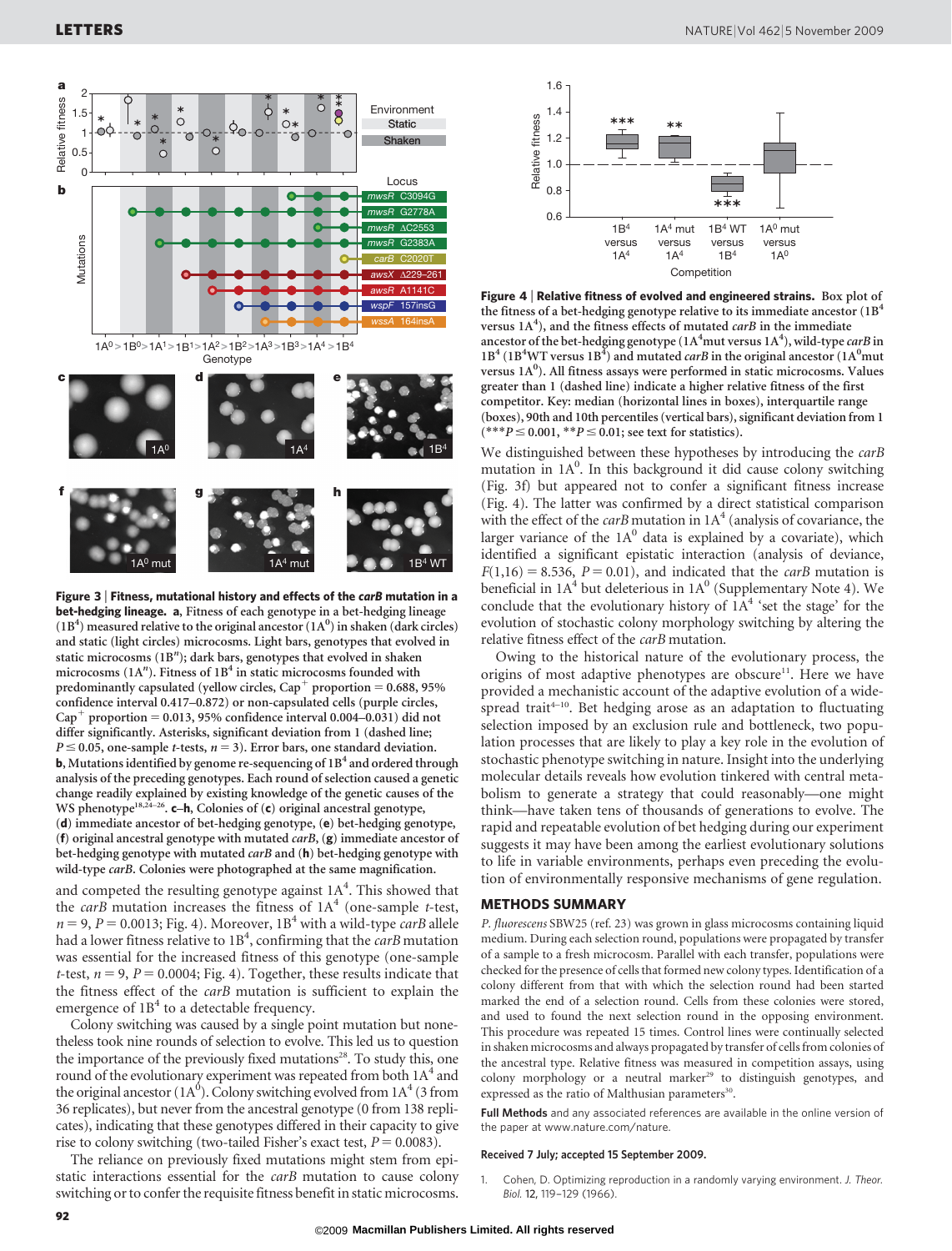

Figure 3 <sup>|</sup> Fitness, mutational history and effects of the carB mutation in a bet-hedging lineage. a, Fitness of each genotype in a bet-hedging lineage  $(1B<sup>4</sup>)$  measured relative to the original ancestor  $(1A<sup>0</sup>)$  in shaken (dark circles) and static (light circles) microcosms. Light bars, genotypes that evolved in static microcosms (1B"); dark bars, genotypes that evolved in shaken microcosms ( $1A<sup>n</sup>$ ). Fitness of  $1B<sup>4</sup>$  in static microcosms founded with predominantly capsulated (yellow circles,  $Cap<sup>+</sup>$  proportion = 0.688, 95% confidence interval 0.417–0.872) or non-capsulated cells (purple circles,  $Cap<sup>+</sup> proportion = 0.013, 95% confidence interval 0.004–0.031) did not$ differ significantly. Asterisks, significant deviation from 1 (dashed line;  $P \le 0.05$ , one-sample *t*-tests,  $n = 3$ ). Error bars, one standard deviation. **b**, Mutations identified by genome re-sequencing of  $1B<sup>4</sup>$  and ordered through analysis of the preceding genotypes. Each round of selection caused a genetic change readily explained by existing knowledge of the genetic causes of the WS phenotype<sup>18,24-26</sup>. c-h, Colonies of (c) original ancestral genotype, (d) immediate ancestor of bet-hedging genotype, (e) bet-hedging genotype, (f) original ancestral genotype with mutated  $carB$ , (g) immediate ancestor of bet-hedging genotype with mutated carB and (h) bet-hedging genotype with wild-type *carB*. Colonies were photographed at the same magnification.

and competed the resulting genotype against  $1A<sup>4</sup>$ . This showed that the *carB* mutation increases the fitness of  $1A<sup>4</sup>$  (one-sample *t*-test,  $n = 9$ ,  $P = 0.0013$ ; Fig. 4). Moreover,  $1B<sup>4</sup>$  with a wild-type *carB* allele had a lower fitness relative to  $1B<sup>4</sup>$ , confirming that the *carB* mutation was essential for the increased fitness of this genotype (one-sample *t*-test,  $n = 9$ ,  $P = 0.0004$ ; Fig. 4). Together, these results indicate that the fitness effect of the carB mutation is sufficient to explain the emergence of  $1B<sup>4</sup>$  to a detectable frequency.

Colony switching was caused by a single point mutation but nonetheless took nine rounds of selection to evolve. This led us to question the importance of the previously fixed mutations<sup>28</sup>. To study this, one round of the evolutionary experiment was repeated from both  $1A<sup>4</sup>$  and the original ancestor ( $1A^0$ ). Colony switching evolved from  $1A^4$  (3 from 36 replicates), but never from the ancestral genotype (0 from 138 replicates), indicating that these genotypes differed in their capacity to give rise to colony switching (two-tailed Fisher's exact test,  $P = 0.0083$ ).

The reliance on previously fixed mutations might stem from epistatic interactions essential for the carB mutation to cause colony switching or to confer the requisite fitness benefit in static microcosms.



Figure 4 <sup>|</sup> Relative fitness of evolved and engineered strains. Box plot of the fitness of a bet-hedging genotype relative to its immediate ancestor  $({\rm 1B^4}$ versus  $1A<sup>4</sup>$ ), and the fitness effects of mutated *carB* in the immediate ancestor of the bet-hedging genotype ( $1A<sup>4</sup>$ mut versus  $1A<sup>4</sup>$ ), wild-type *carB* in  $1B<sup>4</sup>$  (1B<sup>4</sup>WT versus  $1B<sup>4</sup>$ ) and mutated *carB* in the original ancestor (1A<sup>0</sup>mut versus 1A<sup>0</sup>). All fitness assays were performed in static microcosms. Values greater than 1 (dashed line) indicate a higher relative fitness of the first competitor. Key: median (horizontal lines in boxes), interquartile range (boxes), 90th and 10th percentiles (vertical bars), significant deviation from 1  $(***P \le 0.001, **P \le 0.01$ ; see text for statistics).

We distinguished between these hypotheses by introducing the *carB* mutation in 1A<sup>0</sup>. In this background it did cause colony switching (Fig. 3f) but appeared not to confer a significant fitness increase (Fig. 4). The latter was confirmed by a direct statistical comparison with the effect of the *carB* mutation in  $1A<sup>4</sup>$  (analysis of covariance, the larger variance of the  $1A<sup>0</sup>$  data is explained by a covariate), which identified a significant epistatic interaction (analysis of deviance,  $F(1,16) = 8.536$ ,  $P = 0.01$ ), and indicated that the *carB* mutation is beneficial in  $1A<sup>4</sup>$  but deleterious in  $1A<sup>0</sup>$  (Supplementary Note 4). We conclude that the evolutionary history of  $1A<sup>4</sup>$  'set the stage' for the evolution of stochastic colony morphology switching by altering the relative fitness effect of the carB mutation.

Owing to the historical nature of the evolutionary process, the origins of most adaptive phenotypes are obscure<sup>11</sup>. Here we have provided a mechanistic account of the adaptive evolution of a widespread trait<sup>4–10</sup>. Bet hedging arose as an adaptation to fluctuating selection imposed by an exclusion rule and bottleneck, two population processes that are likely to play a key role in the evolution of stochastic phenotype switching in nature. Insight into the underlying molecular details reveals how evolution tinkered with central metabolism to generate a strategy that could reasonably—one might think—have taken tens of thousands of generations to evolve. The rapid and repeatable evolution of bet hedging during our experiment suggests it may have been among the earliest evolutionary solutions to life in variable environments, perhaps even preceding the evolution of environmentally responsive mechanisms of gene regulation.

#### METHODS SUMMARY

P. fluorescens SBW25 (ref. 23) was grown in glass microcosms containing liquid medium. During each selection round, populations were propagated by transfer of a sample to a fresh microcosm. Parallel with each transfer, populations were checked for the presence of cells that formed new colony types. Identification of a colony different from that with which the selection round had been started marked the end of a selection round. Cells from these colonies were stored, and used to found the next selection round in the opposing environment. This procedure was repeated 15 times. Control lines were continually selected in shaken microcosms and always propagated by transfer of cells from colonies of the ancestral type. Relative fitness was measured in competition assays, using colony morphology or a neutral marker<sup>29</sup> to distinguish genotypes, and expressed as the ratio of Malthusian parameters<sup>30</sup>.

Full Methods and any associated references are available in the online version of the paper at<www.nature.com/nature>.

#### Received 7 July; accepted 15 September 2009.

1. Cohen, D. Optimizing reproduction in a randomly varying environment. J. Theor. Biol. 12, 119–129 (1966).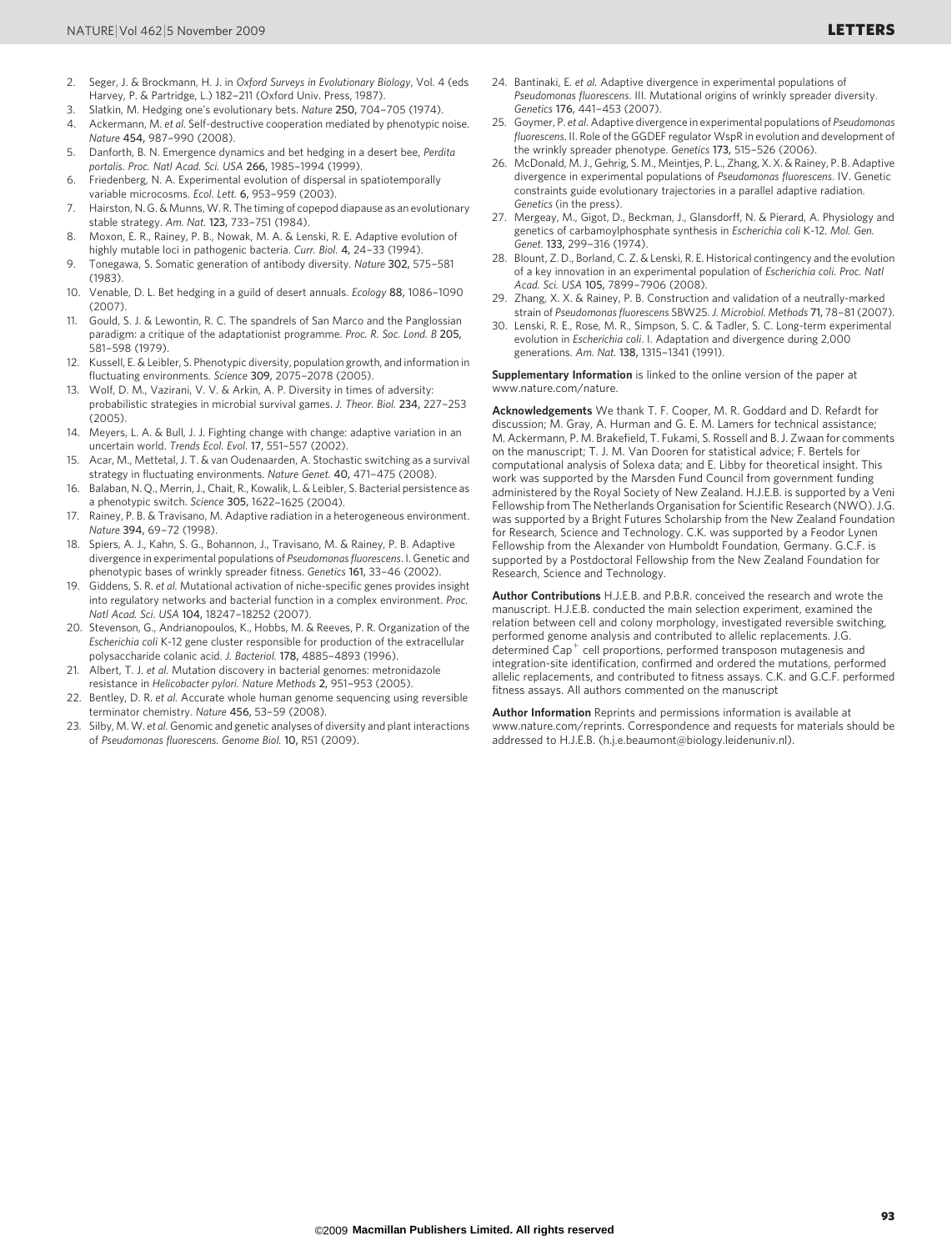- 2. Seger, J. & Brockmann, H. J. in Oxford Surveys in Evolutionary Biology, Vol. 4 (eds Harvey, P. & Partridge, L.) 182–211 (Oxford Univ. Press, 1987).
- 3. Slatkin, M. Hedging one's evolutionary bets. Nature 250, 704–705 (1974).
- 4. Ackermann, M. et al. Self-destructive cooperation mediated by phenotypic noise. Nature 454, 987–990 (2008).
- 5. Danforth, B. N. Emergence dynamics and bet hedging in a desert bee, Perdita portalis. Proc. Natl Acad. Sci. USA 266, 1985–1994 (1999).
- 6. Friedenberg, N. A. Experimental evolution of dispersal in spatiotemporally variable microcosms. Ecol. Lett. 6, 953–959 (2003).
- 7. Hairston, N. G. & Munns, W. R. The timing of copepod diapause as an evolutionary stable strategy. Am. Nat. 123, 733–751 (1984).
- 8. Moxon, E. R., Rainey, P. B., Nowak, M. A. & Lenski, R. E. Adaptive evolution of highly mutable loci in pathogenic bacteria. Curr. Biol. 4, 24–33 (1994).
- 9. Tonegawa, S. Somatic generation of antibody diversity. Nature 302, 575–581 (1983).
- 10. Venable, D. L. Bet hedging in a guild of desert annuals. Ecology 88, 1086–1090  $(2007)$
- 11. Gould, S. J. & Lewontin, R. C. The spandrels of San Marco and the Panglossian paradigm: a critique of the adaptationist programme. Proc. R. Soc. Lond. B 205, 581–598 (1979).
- 12. Kussell, E. & Leibler, S. Phenotypic diversity, population growth, and information in fluctuating environments. Science 309, 2075–2078 (2005).
- 13. Wolf, D. M., Vazirani, V. V. & Arkin, A. P. Diversity in times of adversity: probabilistic strategies in microbial survival games. J. Theor. Biol. 234, 227–253 (2005).
- 14. Meyers, L. A. & Bull, J. J. Fighting change with change: adaptive variation in an uncertain world. Trends Ecol. Evol. 17, 551–557 (2002).
- 15. Acar, M., Mettetal, J. T. & van Oudenaarden, A. Stochastic switching as a survival strategy in fluctuating environments. Nature Genet. 40, 471–475 (2008).
- 16. Balaban, N. Q., Merrin, J., Chait, R., Kowalik, L. & Leibler, S. Bacterial persistence as a phenotypic switch. Science 305, 1622–1625 (2004).
- 17. Rainey, P. B. & Travisano, M. Adaptive radiation in a heterogeneous environment. Nature 394, 69–72 (1998).
- 18. Spiers, A. J., Kahn, S. G., Bohannon, J., Travisano, M. & Rainey, P. B. Adaptive divergence in experimental populations of Pseudomonas fluorescens. I. Genetic and phenotypic bases of wrinkly spreader fitness. Genetics 161, 33–46 (2002).
- 19. Giddens, S. R. et al. Mutational activation of niche-specific genes provides insight into regulatory networks and bacterial function in a complex environment. Proc. Natl Acad. Sci. USA 104, 18247–18252 (2007).
- 20. Stevenson, G., Andrianopoulos, K., Hobbs, M. & Reeves, P. R. Organization of the Escherichia coli K-12 gene cluster responsible for production of the extracellular polysaccharide colanic acid. J. Bacteriol. 178, 4885–4893 (1996).
- 21. Albert, T. J. et al. Mutation discovery in bacterial genomes: metronidazole resistance in Helicobacter pylori. Nature Methods 2, 951–953 (2005).
- 22. Bentley, D. R. et al. Accurate whole human genome sequencing using reversible terminator chemistry. Nature 456, 53–59 (2008).
- 23. Silby, M. W. et al. Genomic and genetic analyses of diversity and plant interactions of Pseudomonas fluorescens. Genome Biol. 10, R51 (2009).
- 24. Bantinaki, E. et al. Adaptive divergence in experimental populations of Pseudomonas fluorescens. III. Mutational origins of wrinkly spreader diversity. Genetics 176, 441–453 (2007).
- 25. Goymer, P. et al. Adaptive divergence in experimental populations of Pseudomonas fluorescens. II. Role of the GGDEF regulator WspR in evolution and development of the wrinkly spreader phenotype. Genetics 173, 515–526 (2006).
- 26. McDonald, M. J., Gehrig, S. M., Meintjes, P. L., Zhang, X. X. & Rainey, P. B. Adaptive divergence in experimental populations of Pseudomonas fluorescens. IV. Genetic constraints guide evolutionary trajectories in a parallel adaptive radiation. Genetics (in the press).
- 27. Mergeay, M., Gigot, D., Beckman, J., Glansdorff, N. & Pierard, A. Physiology and genetics of carbamoylphosphate synthesis in Escherichia coli K-12. Mol. Gen. Genet. 133, 299–316 (1974).
- 28. Blount, Z. D., Borland, C. Z. & Lenski, R. E. Historical contingency and the evolution of a key innovation in an experimental population of Escherichia coli. Proc. Natl Acad. Sci. USA 105, 7899–7906 (2008).
- 29. Zhang, X. X. & Rainey, P. B. Construction and validation of a neutrally-marked strain of Pseudomonas fluorescens SBW25. J. Microbiol. Methods 71, 78–81 (2007).
- 30. Lenski, R. E., Rose, M. R., Simpson, S. C. & Tadler, S. C. Long-term experimental evolution in Escherichia coli. I. Adaptation and divergence during 2,000 generations. Am. Nat. 138, 1315–1341 (1991).

Supplementary Information is linked to the online version of the paper at <www.nature.com/nature>.

Acknowledgements We thank T. F. Cooper, M. R. Goddard and D. Refardt for discussion; M. Gray, A. Hurman and G. E. M. Lamers for technical assistance; M. Ackermann, P. M. Brakefield, T. Fukami, S. Rossell and B. J. Zwaan for comments on the manuscript; T. J. M. Van Dooren for statistical advice; F. Bertels for computational analysis of Solexa data; and E. Libby for theoretical insight. This work was supported by the Marsden Fund Council from government funding administered by the Royal Society of New Zealand. H.J.E.B. is supported by a Veni Fellowship from The Netherlands Organisation for Scientific Research (NWO). J.G. was supported by a Bright Futures Scholarship from the New Zealand Foundation for Research, Science and Technology. C.K. was supported by a Feodor Lynen Fellowship from the Alexander von Humboldt Foundation, Germany. G.C.F. is supported by a Postdoctoral Fellowship from the New Zealand Foundation for Research, Science and Technology.

Author Contributions H.J.E.B. and P.B.R. conceived the research and wrote the manuscript. H.J.E.B. conducted the main selection experiment, examined the relation between cell and colony morphology, investigated reversible switching, performed genome analysis and contributed to allelic replacements. J.G. determined  $Cap<sup>+</sup>$  cell proportions, performed transposon mutagenesis and integration-site identification, confirmed and ordered the mutations, performed allelic replacements, and contributed to fitness assays. C.K. and G.C.F. performed fitness assays. All authors commented on the manuscript

Author Information Reprints and permissions information is available at <www.nature.com/reprints>. Correspondence and requests for materials should be addressed to H.J.E.B. [\(h.j.e.beaumont@biology.leidenuniv.nl\).](mailto:h.j.e.beaumont@biology.leidenuniv.nl)